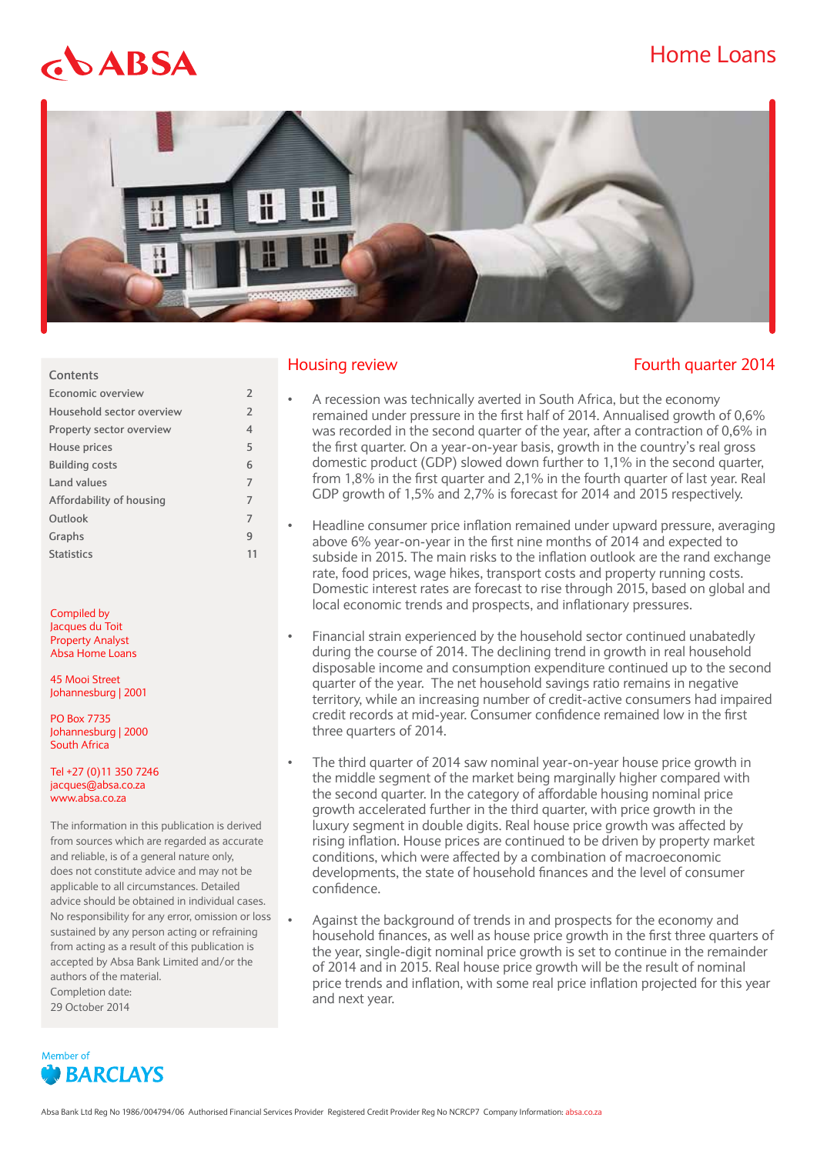## Home Loans

# $$



#### **Contents**

| Economic overview         | $\mathcal{P}$  |
|---------------------------|----------------|
| Household sector overview | $\overline{2}$ |
| Property sector overview  | $\overline{4}$ |
| House prices              | 5              |
| <b>Building costs</b>     | 6              |
| Land values               | 7              |
| Affordability of housing  | 7              |
| Outlook                   | 7              |
| Graphs                    | q              |
| <b>Statistics</b>         |                |
|                           |                |

Compiled by Jacques du Toit Property Analyst Absa Home Loans

45 Mooi Street Johannesburg | 2001

PO Box 7735 Johannesburg | 2000 South Africa

Tel +27 (0)11 350 7246 jacques@absa.co.za www.absa.co.za

The information in this publication is derived from sources which are regarded as accurate and reliable, is of a general nature only, does not constitute advice and may not be applicable to all circumstances. Detailed advice should be obtained in individual cases. No responsibility for any error, omission or loss sustained by any person acting or refraining from acting as a result of this publication is accepted by Absa Bank Limited and/or the authors of the material. Completion date: 29 October 2014



#### Housing review Fourth quarter 2014

- A recession was technically averted in South Africa, but the economy remained under pressure in the first half of 2014. Annualised growth of 0,6% was recorded in the second quarter of the year, after a contraction of 0,6% in the first quarter. On a year-on-year basis, growth in the country's real gross domestic product (GDP) slowed down further to 1,1% in the second quarter, from 1,8% in the first quarter and 2,1% in the fourth quarter of last year. Real GDP growth of 1,5% and 2,7% is forecast for 2014 and 2015 respectively.
- Headline consumer price inflation remained under upward pressure, averaging above 6% year-on-year in the first nine months of 2014 and expected to subside in 2015. The main risks to the inflation outlook are the rand exchange rate, food prices, wage hikes, transport costs and property running costs. Domestic interest rates are forecast to rise through 2015, based on global and local economic trends and prospects, and inflationary pressures.
- Financial strain experienced by the household sector continued unabatedly during the course of 2014. The declining trend in growth in real household disposable income and consumption expenditure continued up to the second quarter of the year. The net household savings ratio remains in negative territory, while an increasing number of credit-active consumers had impaired credit records at mid-year. Consumer confidence remained low in the first three quarters of 2014.
- The third quarter of 2014 saw nominal year-on-year house price growth in the middle segment of the market being marginally higher compared with the second quarter. In the category of affordable housing nominal price growth accelerated further in the third quarter, with price growth in the luxury segment in double digits. Real house price growth was affected by rising inflation. House prices are continued to be driven by property market conditions, which were affected by a combination of macroeconomic developments, the state of household finances and the level of consumer confidence.
- Against the background of trends in and prospects for the economy and household finances, as well as house price growth in the first three quarters of the year, single-digit nominal price growth is set to continue in the remainder of 2014 and in 2015. Real house price growth will be the result of nominal price trends and inflation, with some real price inflation projected for this year and next year.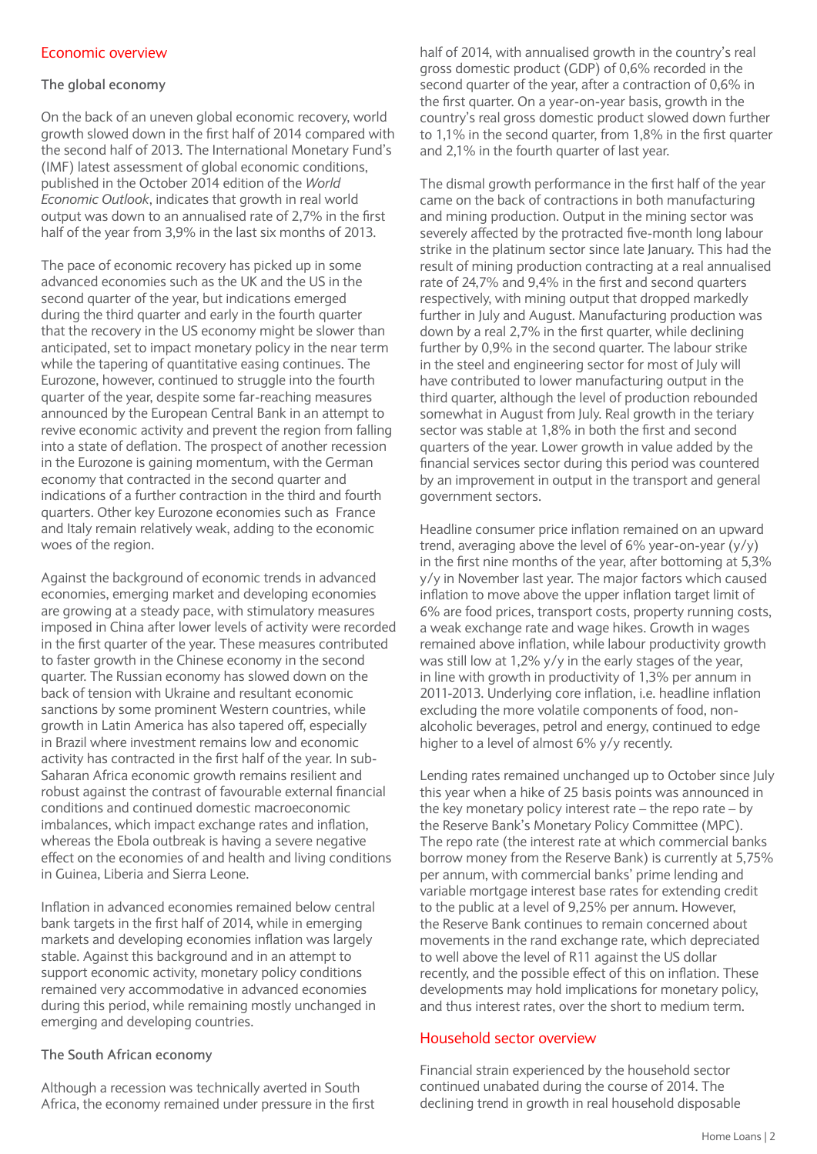#### Economic overview

#### **The global economy**

On the back of an uneven global economic recovery, world growth slowed down in the first half of 2014 compared with the second half of 2013. The International Monetary Fund's (IMF) latest assessment of global economic conditions, published in the October 2014 edition of the *World Economic Outlook*, indicates that growth in real world output was down to an annualised rate of 2,7% in the first half of the year from 3,9% in the last six months of 2013.

The pace of economic recovery has picked up in some advanced economies such as the UK and the US in the second quarter of the year, but indications emerged during the third quarter and early in the fourth quarter that the recovery in the US economy might be slower than anticipated, set to impact monetary policy in the near term while the tapering of quantitative easing continues. The Eurozone, however, continued to struggle into the fourth quarter of the year, despite some far-reaching measures announced by the European Central Bank in an attempt to revive economic activity and prevent the region from falling into a state of deflation. The prospect of another recession in the Eurozone is gaining momentum, with the German economy that contracted in the second quarter and indications of a further contraction in the third and fourth quarters. Other key Eurozone economies such as France and Italy remain relatively weak, adding to the economic woes of the region.

Against the background of economic trends in advanced economies, emerging market and developing economies are growing at a steady pace, with stimulatory measures imposed in China after lower levels of activity were recorded in the first quarter of the year. These measures contributed to faster growth in the Chinese economy in the second quarter. The Russian economy has slowed down on the back of tension with Ukraine and resultant economic sanctions by some prominent Western countries, while growth in Latin America has also tapered off, especially in Brazil where investment remains low and economic activity has contracted in the first half of the year. In sub-Saharan Africa economic growth remains resilient and robust against the contrast of favourable external financial conditions and continued domestic macroeconomic imbalances, which impact exchange rates and inflation, whereas the Ebola outbreak is having a severe negative effect on the economies of and health and living conditions in Guinea, Liberia and Sierra Leone.

Inflation in advanced economies remained below central bank targets in the first half of 2014, while in emerging markets and developing economies inflation was largely stable. Against this background and in an attempt to support economic activity, monetary policy conditions remained very accommodative in advanced economies during this period, while remaining mostly unchanged in emerging and developing countries.

#### **The South African economy**

Although a recession was technically averted in South Africa, the economy remained under pressure in the first half of 2014, with annualised growth in the country's real gross domestic product (GDP) of 0,6% recorded in the second quarter of the year, after a contraction of 0,6% in the first quarter. On a year-on-year basis, growth in the country's real gross domestic product slowed down further to 1,1% in the second quarter, from 1,8% in the first quarter and 2,1% in the fourth quarter of last year.

The dismal growth performance in the first half of the year came on the back of contractions in both manufacturing and mining production. Output in the mining sector was severely affected by the protracted five-month long labour strike in the platinum sector since late January. This had the result of mining production contracting at a real annualised rate of 24,7% and 9,4% in the first and second quarters respectively, with mining output that dropped markedly further in July and August. Manufacturing production was down by a real 2,7% in the first quarter, while declining further by 0,9% in the second quarter. The labour strike in the steel and engineering sector for most of July will have contributed to lower manufacturing output in the third quarter, although the level of production rebounded somewhat in August from July. Real growth in the teriary sector was stable at 1,8% in both the first and second quarters of the year. Lower growth in value added by the financial services sector during this period was countered by an improvement in output in the transport and general government sectors.

Headline consumer price inflation remained on an upward trend, averaging above the level of 6% year-on-year (y/y) in the first nine months of the year, after bottoming at 5,3% y/y in November last year. The major factors which caused inflation to move above the upper inflation target limit of 6% are food prices, transport costs, property running costs, a weak exchange rate and wage hikes. Growth in wages remained above inflation, while labour productivity growth was still low at 1,2% y/y in the early stages of the year, in line with growth in productivity of 1,3% per annum in 2011-2013. Underlying core inflation, i.e. headline inflation excluding the more volatile components of food, nonalcoholic beverages, petrol and energy, continued to edge higher to a level of almost 6% y/y recently.

Lending rates remained unchanged up to October since July this year when a hike of 25 basis points was announced in the key monetary policy interest rate – the repo rate – by the Reserve Bank's Monetary Policy Committee (MPC). The repo rate (the interest rate at which commercial banks borrow money from the Reserve Bank) is currently at 5,75% per annum, with commercial banks' prime lending and variable mortgage interest base rates for extending credit to the public at a level of 9,25% per annum. However, the Reserve Bank continues to remain concerned about movements in the rand exchange rate, which depreciated to well above the level of R11 against the US dollar recently, and the possible effect of this on inflation. These developments may hold implications for monetary policy, and thus interest rates, over the short to medium term.

#### Household sector overview

Financial strain experienced by the household sector continued unabated during the course of 2014. The declining trend in growth in real household disposable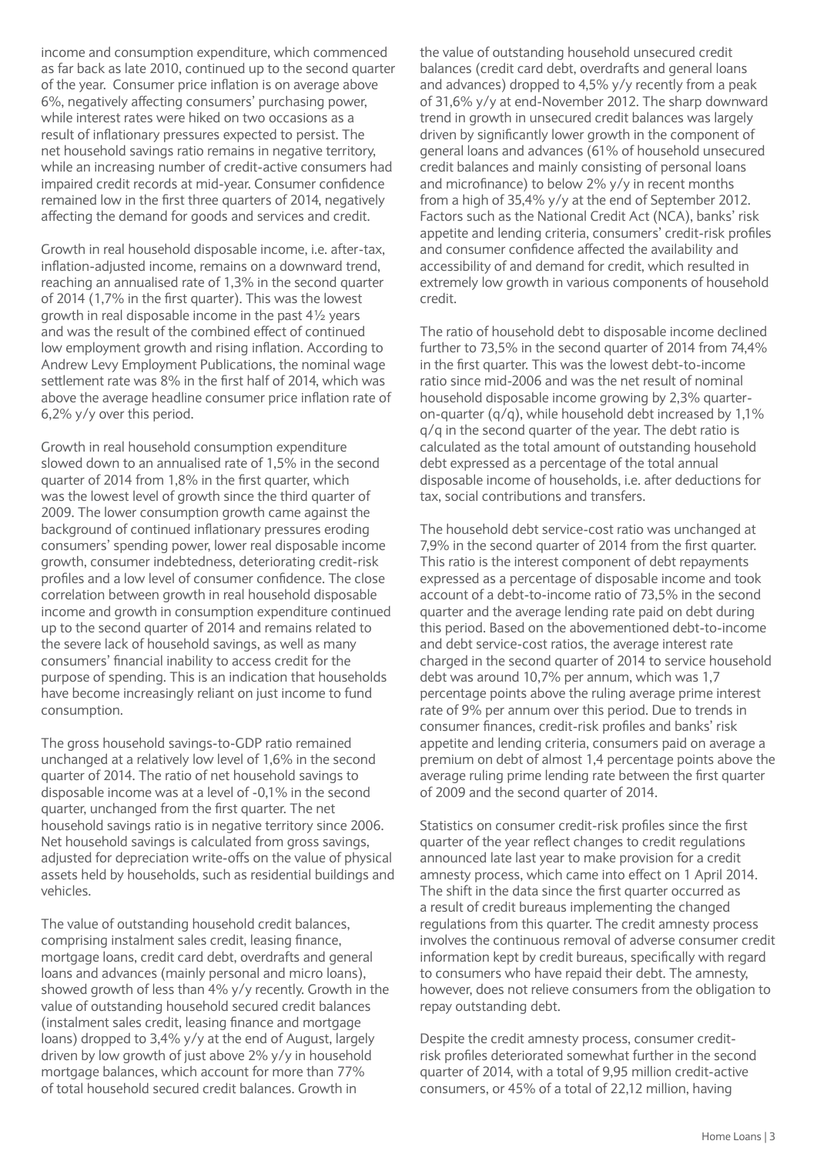income and consumption expenditure, which commenced as far back as late 2010, continued up to the second quarter of the year. Consumer price inflation is on average above 6%, negatively affecting consumers' purchasing power, while interest rates were hiked on two occasions as a result of inflationary pressures expected to persist. The net household savings ratio remains in negative territory, while an increasing number of credit-active consumers had impaired credit records at mid-year. Consumer confidence remained low in the first three quarters of 2014, negatively affecting the demand for goods and services and credit.

Growth in real household disposable income, i.e. after-tax, inflation-adjusted income, remains on a downward trend, reaching an annualised rate of 1,3% in the second quarter of 2014 (1,7% in the first quarter). This was the lowest growth in real disposable income in the past 4½ years and was the result of the combined effect of continued low employment growth and rising inflation. According to Andrew Levy Employment Publications, the nominal wage settlement rate was 8% in the first half of 2014, which was above the average headline consumer price inflation rate of 6,2% y/y over this period.

Growth in real household consumption expenditure slowed down to an annualised rate of 1,5% in the second quarter of 2014 from 1,8% in the first quarter, which was the lowest level of growth since the third quarter of 2009. The lower consumption growth came against the background of continued inflationary pressures eroding consumers' spending power, lower real disposable income growth, consumer indebtedness, deteriorating credit-risk profiles and a low level of consumer confidence. The close correlation between growth in real household disposable income and growth in consumption expenditure continued up to the second quarter of 2014 and remains related to the severe lack of household savings, as well as many consumers' financial inability to access credit for the purpose of spending. This is an indication that households have become increasingly reliant on just income to fund consumption.

The gross household savings-to-GDP ratio remained unchanged at a relatively low level of 1,6% in the second quarter of 2014. The ratio of net household savings to disposable income was at a level of -0,1% in the second quarter, unchanged from the first quarter. The net household savings ratio is in negative territory since 2006. Net household savings is calculated from gross savings, adjusted for depreciation write-offs on the value of physical assets held by households, such as residential buildings and vehicles.

The value of outstanding household credit balances, comprising instalment sales credit, leasing finance, mortgage loans, credit card debt, overdrafts and general loans and advances (mainly personal and micro loans), showed growth of less than 4% y/y recently. Growth in the value of outstanding household secured credit balances (instalment sales credit, leasing finance and mortgage loans) dropped to 3,4% y/y at the end of August, largely driven by low growth of just above 2% y/y in household mortgage balances, which account for more than 77% of total household secured credit balances. Growth in

the value of outstanding household unsecured credit balances (credit card debt, overdrafts and general loans and advances) dropped to 4,5% y/y recently from a peak of 31,6% y/y at end-November 2012. The sharp downward trend in growth in unsecured credit balances was largely driven by significantly lower growth in the component of general loans and advances (61% of household unsecured credit balances and mainly consisting of personal loans and microfinance) to below 2% y/y in recent months from a high of 35,4% y/y at the end of September 2012. Factors such as the National Credit Act (NCA), banks' risk appetite and lending criteria, consumers' credit-risk profiles and consumer confidence affected the availability and accessibility of and demand for credit, which resulted in extremely low growth in various components of household credit.

The ratio of household debt to disposable income declined further to 73,5% in the second quarter of 2014 from 74,4% in the first quarter. This was the lowest debt-to-income ratio since mid-2006 and was the net result of nominal household disposable income growing by 2,3% quarteron-quarter (q/q), while household debt increased by 1,1% q/q in the second quarter of the year. The debt ratio is calculated as the total amount of outstanding household debt expressed as a percentage of the total annual disposable income of households, i.e. after deductions for tax, social contributions and transfers.

The household debt service-cost ratio was unchanged at 7,9% in the second quarter of 2014 from the first quarter. This ratio is the interest component of debt repayments expressed as a percentage of disposable income and took account of a debt-to-income ratio of 73,5% in the second quarter and the average lending rate paid on debt during this period. Based on the abovementioned debt-to-income and debt service-cost ratios, the average interest rate charged in the second quarter of 2014 to service household debt was around 10,7% per annum, which was 1,7 percentage points above the ruling average prime interest rate of 9% per annum over this period. Due to trends in consumer finances, credit-risk profiles and banks' risk appetite and lending criteria, consumers paid on average a premium on debt of almost 1,4 percentage points above the average ruling prime lending rate between the first quarter of 2009 and the second quarter of 2014.

Statistics on consumer credit-risk profiles since the first quarter of the year reflect changes to credit regulations announced late last year to make provision for a credit amnesty process, which came into effect on 1 April 2014. The shift in the data since the first quarter occurred as a result of credit bureaus implementing the changed regulations from this quarter. The credit amnesty process involves the continuous removal of adverse consumer credit information kept by credit bureaus, specifically with regard to consumers who have repaid their debt. The amnesty, however, does not relieve consumers from the obligation to repay outstanding debt.

Despite the credit amnesty process, consumer creditrisk profiles deteriorated somewhat further in the second quarter of 2014, with a total of 9,95 million credit-active consumers, or 45% of a total of 22,12 million, having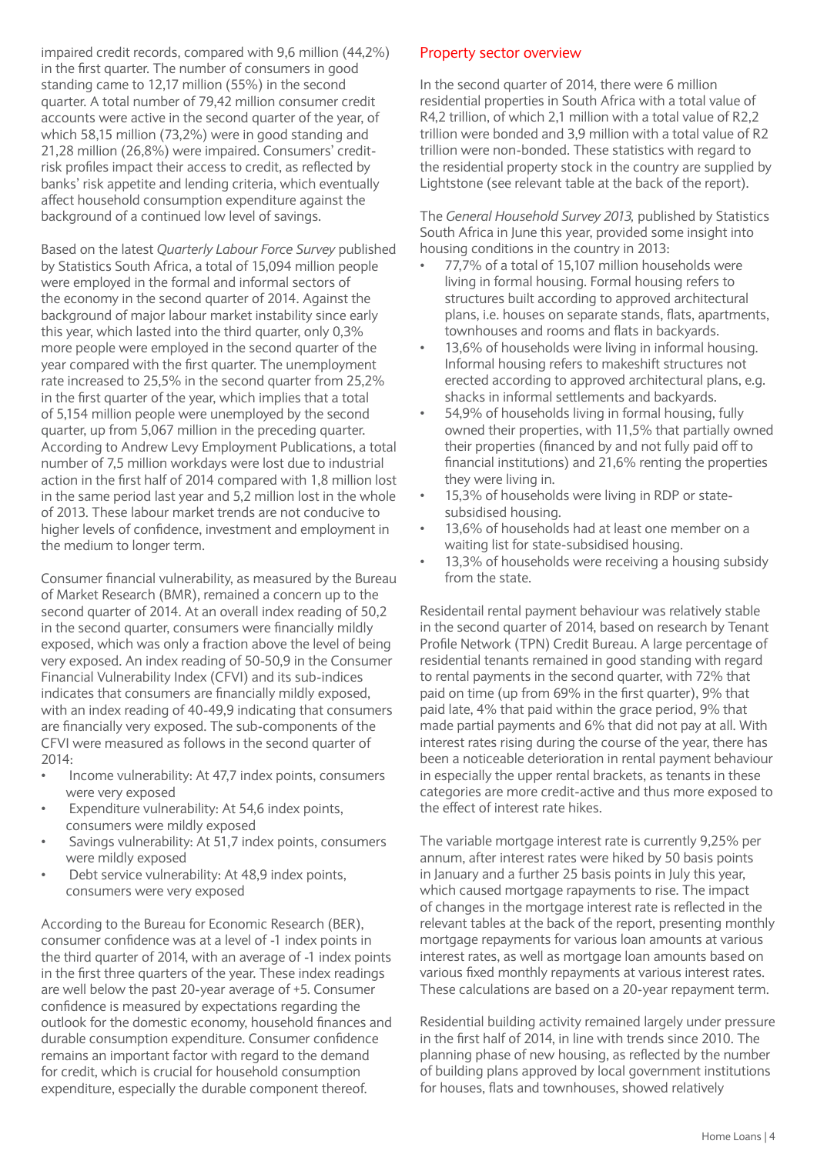impaired credit records, compared with 9,6 million (44,2%) in the first quarter. The number of consumers in good standing came to 12,17 million (55%) in the second quarter. A total number of 79,42 million consumer credit accounts were active in the second quarter of the year, of which 58,15 million (73,2%) were in good standing and 21,28 million (26,8%) were impaired. Consumers' creditrisk profiles impact their access to credit, as reflected by banks' risk appetite and lending criteria, which eventually affect household consumption expenditure against the background of a continued low level of savings.

Based on the latest *Quarterly Labour Force Survey* published by Statistics South Africa, a total of 15,094 million people were employed in the formal and informal sectors of the economy in the second quarter of 2014. Against the background of major labour market instability since early this year, which lasted into the third quarter, only 0,3% more people were employed in the second quarter of the year compared with the first quarter. The unemployment rate increased to 25,5% in the second quarter from 25,2% in the first quarter of the year, which implies that a total of 5,154 million people were unemployed by the second quarter, up from 5,067 million in the preceding quarter. According to Andrew Levy Employment Publications, a total number of 7,5 million workdays were lost due to industrial action in the first half of 2014 compared with 1,8 million lost in the same period last year and 5,2 million lost in the whole of 2013. These labour market trends are not conducive to higher levels of confidence, investment and employment in the medium to longer term.

Consumer financial vulnerability, as measured by the Bureau of Market Research (BMR), remained a concern up to the second quarter of 2014. At an overall index reading of 50,2 in the second quarter, consumers were financially mildly exposed, which was only a fraction above the level of being very exposed. An index reading of 50-50,9 in the Consumer Financial Vulnerability Index (CFVI) and its sub-indices indicates that consumers are financially mildly exposed, with an index reading of 40-49,9 indicating that consumers are financially very exposed. The sub-components of the CFVI were measured as follows in the second quarter of 2014:

- Income vulnerability: At 47,7 index points, consumers were very exposed
- Expenditure vulnerability: At 54,6 index points, consumers were mildly exposed
- Savings vulnerability: At 51,7 index points, consumers were mildly exposed
- Debt service vulnerability: At 48,9 index points, consumers were very exposed

According to the Bureau for Economic Research (BER), consumer confidence was at a level of -1 index points in the third quarter of 2014, with an average of -1 index points in the first three quarters of the year. These index readings are well below the past 20-year average of +5. Consumer confidence is measured by expectations regarding the outlook for the domestic economy, household finances and durable consumption expenditure. Consumer confidence remains an important factor with regard to the demand for credit, which is crucial for household consumption expenditure, especially the durable component thereof.

#### Property sector overview

In the second quarter of 2014, there were 6 million residential properties in South Africa with a total value of R4,2 trillion, of which 2,1 million with a total value of R2,2 trillion were bonded and 3,9 million with a total value of R2 trillion were non-bonded. These statistics with regard to the residential property stock in the country are supplied by Lightstone (see relevant table at the back of the report).

The *General Household Survey 2013,* published by Statistics South Africa in June this year, provided some insight into housing conditions in the country in 2013:

- 77,7% of a total of 15,107 million households were living in formal housing. Formal housing refers to structures built according to approved architectural plans, i.e. houses on separate stands, flats, apartments, townhouses and rooms and flats in backyards.
- 13,6% of households were living in informal housing. Informal housing refers to makeshift structures not erected according to approved architectural plans, e.g. shacks in informal settlements and backyards.
- 54,9% of households living in formal housing, fully owned their properties, with 11,5% that partially owned their properties (financed by and not fully paid off to financial institutions) and 21,6% renting the properties they were living in.
- 15,3% of households were living in RDP or statesubsidised housing.
- 13,6% of households had at least one member on a waiting list for state-subsidised housing.
- 13,3% of households were receiving a housing subsidy from the state.

Residentail rental payment behaviour was relatively stable in the second quarter of 2014, based on research by Tenant Profile Network (TPN) Credit Bureau. A large percentage of residential tenants remained in good standing with regard to rental payments in the second quarter, with 72% that paid on time (up from 69% in the first quarter), 9% that paid late, 4% that paid within the grace period, 9% that made partial payments and 6% that did not pay at all. With interest rates rising during the course of the year, there has been a noticeable deterioration in rental payment behaviour in especially the upper rental brackets, as tenants in these categories are more credit-active and thus more exposed to the effect of interest rate hikes.

The variable mortgage interest rate is currently 9,25% per annum, after interest rates were hiked by 50 basis points in January and a further 25 basis points in July this year, which caused mortgage rapayments to rise. The impact of changes in the mortgage interest rate is reflected in the relevant tables at the back of the report, presenting monthly mortgage repayments for various loan amounts at various interest rates, as well as mortgage loan amounts based on various fixed monthly repayments at various interest rates. These calculations are based on a 20-year repayment term.

Residential building activity remained largely under pressure in the first half of 2014, in line with trends since 2010. The planning phase of new housing, as reflected by the number of building plans approved by local government institutions for houses, flats and townhouses, showed relatively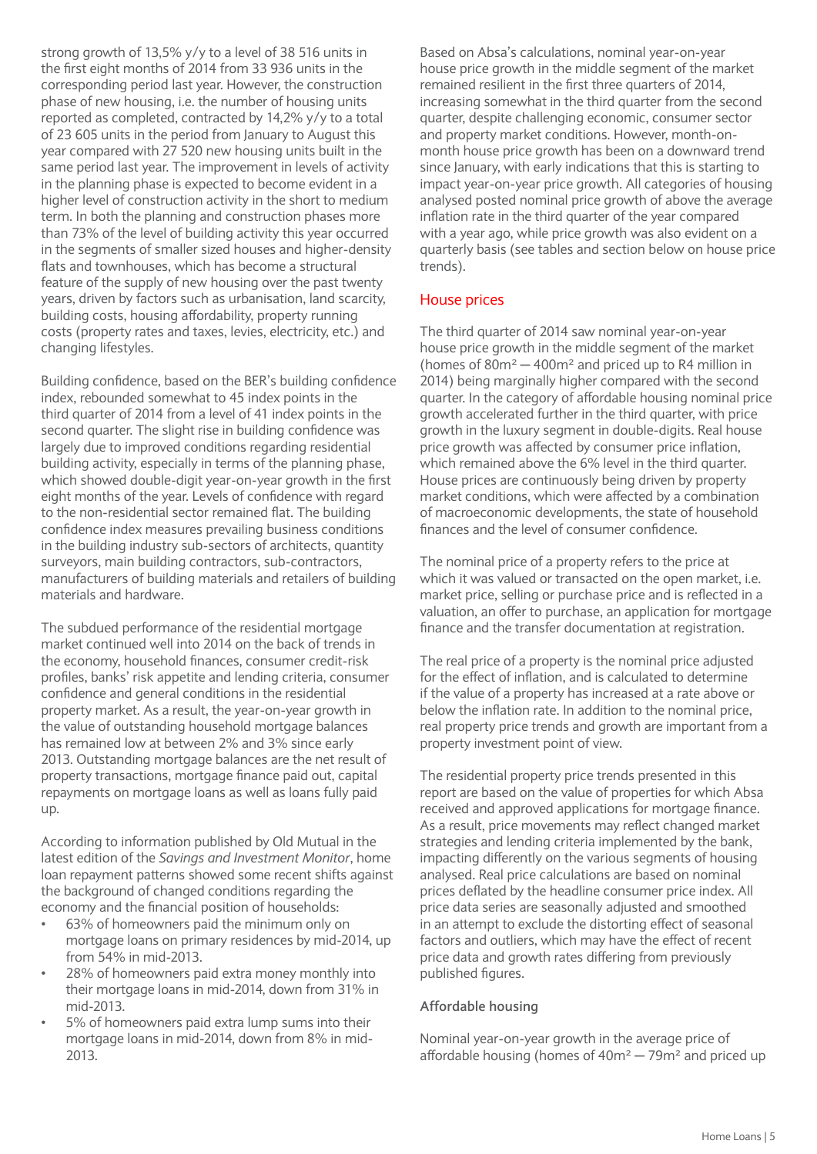strong growth of 13,5% y/y to a level of 38 516 units in the first eight months of 2014 from 33 936 units in the corresponding period last year. However, the construction phase of new housing, i.e. the number of housing units reported as completed, contracted by 14,2% y/y to a total of 23 605 units in the period from January to August this year compared with 27 520 new housing units built in the same period last year. The improvement in levels of activity in the planning phase is expected to become evident in a higher level of construction activity in the short to medium term. In both the planning and construction phases more than 73% of the level of building activity this year occurred in the segments of smaller sized houses and higher-density flats and townhouses, which has become a structural feature of the supply of new housing over the past twenty years, driven by factors such as urbanisation, land scarcity, building costs, housing affordability, property running costs (property rates and taxes, levies, electricity, etc.) and changing lifestyles.

Building confidence, based on the BER's building confidence index, rebounded somewhat to 45 index points in the third quarter of 2014 from a level of 41 index points in the second quarter. The slight rise in building confidence was largely due to improved conditions regarding residential building activity, especially in terms of the planning phase, which showed double-digit year-on-year growth in the first eight months of the year. Levels of confidence with regard to the non-residential sector remained flat. The building confidence index measures prevailing business conditions in the building industry sub-sectors of architects, quantity surveyors, main building contractors, sub-contractors, manufacturers of building materials and retailers of building materials and hardware.

The subdued performance of the residential mortgage market continued well into 2014 on the back of trends in the economy, household finances, consumer credit-risk profiles, banks' risk appetite and lending criteria, consumer confidence and general conditions in the residential property market. As a result, the year-on-year growth in the value of outstanding household mortgage balances has remained low at between 2% and 3% since early 2013. Outstanding mortgage balances are the net result of property transactions, mortgage finance paid out, capital repayments on mortgage loans as well as loans fully paid up.

According to information published by Old Mutual in the latest edition of the *Savings and Investment Monitor*, home loan repayment patterns showed some recent shifts against the background of changed conditions regarding the economy and the financial position of households:

- 63% of homeowners paid the minimum only on mortgage loans on primary residences by mid-2014, up from 54% in mid-2013.
- 28% of homeowners paid extra money monthly into their mortgage loans in mid-2014, down from 31% in mid-2013.
- 5% of homeowners paid extra lump sums into their mortgage loans in mid-2014, down from 8% in mid-2013.

Based on Absa's calculations, nominal year-on-year house price growth in the middle segment of the market remained resilient in the first three quarters of 2014, increasing somewhat in the third quarter from the second quarter, despite challenging economic, consumer sector and property market conditions. However, month-onmonth house price growth has been on a downward trend since January, with early indications that this is starting to impact year-on-year price growth. All categories of housing analysed posted nominal price growth of above the average inflation rate in the third quarter of the year compared with a year ago, while price growth was also evident on a quarterly basis (see tables and section below on house price trends).

#### House prices

The third quarter of 2014 saw nominal year-on-year house price growth in the middle segment of the market (homes of  $80m^2 - 400m^2$  and priced up to R4 million in 2014) being marginally higher compared with the second quarter. In the category of affordable housing nominal price growth accelerated further in the third quarter, with price growth in the luxury segment in double-digits. Real house price growth was affected by consumer price inflation, which remained above the 6% level in the third quarter. House prices are continuously being driven by property market conditions, which were affected by a combination of macroeconomic developments, the state of household finances and the level of consumer confidence.

The nominal price of a property refers to the price at which it was valued or transacted on the open market, i.e. market price, selling or purchase price and is reflected in a valuation, an offer to purchase, an application for mortgage finance and the transfer documentation at registration.

The real price of a property is the nominal price adjusted for the effect of inflation, and is calculated to determine if the value of a property has increased at a rate above or below the inflation rate. In addition to the nominal price, real property price trends and growth are important from a property investment point of view.

The residential property price trends presented in this report are based on the value of properties for which Absa received and approved applications for mortgage finance. As a result, price movements may reflect changed market strategies and lending criteria implemented by the bank, impacting differently on the various segments of housing analysed. Real price calculations are based on nominal prices deflated by the headline consumer price index. All price data series are seasonally adjusted and smoothed in an attempt to exclude the distorting effect of seasonal factors and outliers, which may have the effect of recent price data and growth rates differing from previously published figures.

#### **Affordable housing**

Nominal year-on-year growth in the average price of affordable housing (homes of  $40m^2 - 79m^2$  and priced up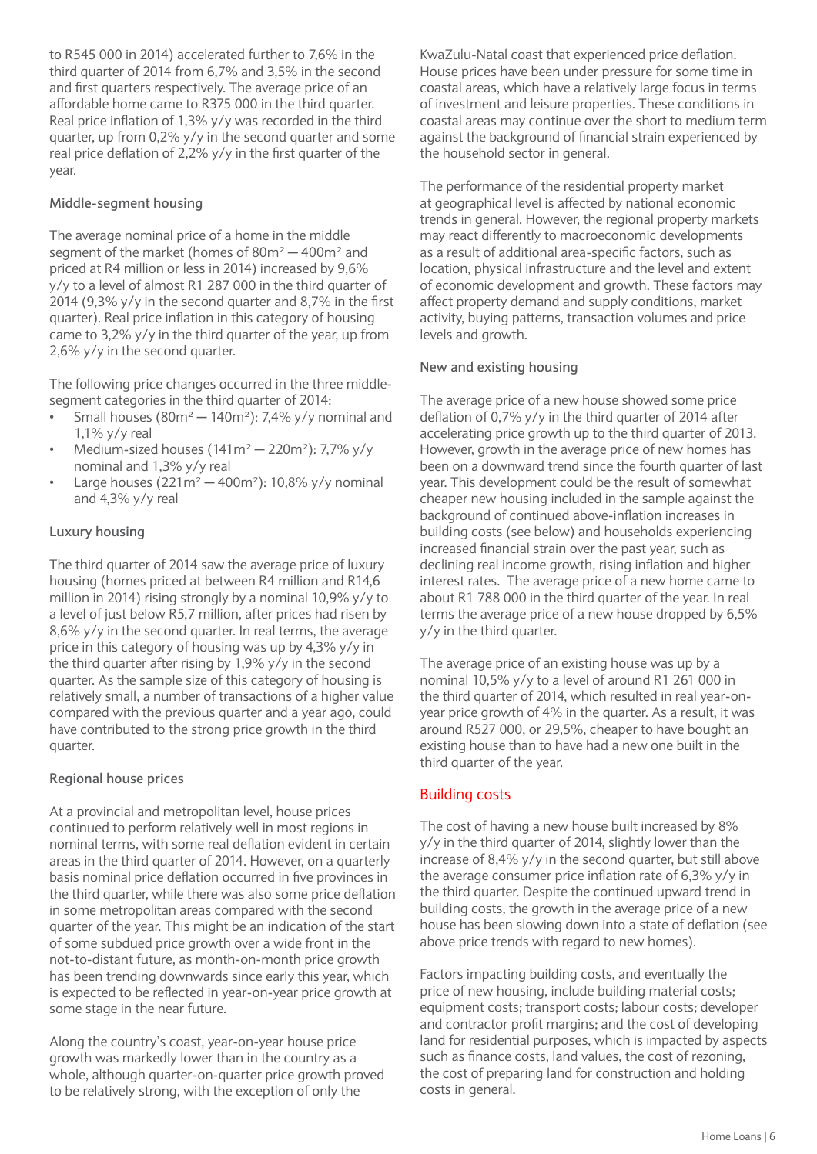to R545 000 in 2014) accelerated further to 7,6% in the third quarter of 2014 from 6,7% and 3,5% in the second and first quarters respectively. The average price of an affordable home came to R375 000 in the third quarter. Real price inflation of 1,3% y/y was recorded in the third quarter, up from 0,2% y/y in the second quarter and some real price deflation of 2,2% y/y in the first quarter of the year.

#### **Middle-segment housing**

The average nominal price of a home in the middle segment of the market (homes of  $80m^2 - 400m^2$  and priced at R4 million or less in 2014) increased by 9,6% y/y to a level of almost R1 287 000 in the third quarter of 2014 (9,3% y/y in the second quarter and 8,7% in the first quarter). Real price inflation in this category of housing came to 3,2% y/y in the third quarter of the year, up from 2,6% y/y in the second quarter.

The following price changes occurred in the three middlesegment categories in the third quarter of 2014:

- Small houses ( $80m^2 140m^2$ ): 7,4% y/y nominal and 1,1% y/y real
- Medium-sized houses  $(141m^2 220m^2)$ : 7.7% y/y nominal and 1,3% y/y real
- Large houses ( $221m^2 400m^2$ ): 10,8% y/y nominal and 4,3% y/y real

#### **Luxury housing**

The third quarter of 2014 saw the average price of luxury housing (homes priced at between R4 million and R14,6 million in 2014) rising strongly by a nominal 10,9% y/y to a level of just below R5,7 million, after prices had risen by 8,6% y/y in the second quarter. In real terms, the average price in this category of housing was up by 4,3% y/y in the third quarter after rising by 1,9% y/y in the second quarter. As the sample size of this category of housing is relatively small, a number of transactions of a higher value compared with the previous quarter and a year ago, could have contributed to the strong price growth in the third quarter.

#### **Regional house prices**

At a provincial and metropolitan level, house prices continued to perform relatively well in most regions in nominal terms, with some real deflation evident in certain areas in the third quarter of 2014. However, on a quarterly basis nominal price deflation occurred in five provinces in the third quarter, while there was also some price deflation in some metropolitan areas compared with the second quarter of the year. This might be an indication of the start of some subdued price growth over a wide front in the not-to-distant future, as month-on-month price growth has been trending downwards since early this year, which is expected to be reflected in year-on-year price growth at some stage in the near future.

Along the country's coast, year-on-year house price growth was markedly lower than in the country as a whole, although quarter-on-quarter price growth proved to be relatively strong, with the exception of only the

KwaZulu-Natal coast that experienced price deflation. House prices have been under pressure for some time in coastal areas, which have a relatively large focus in terms of investment and leisure properties. These conditions in coastal areas may continue over the short to medium term against the background of financial strain experienced by the household sector in general.

The performance of the residential property market at geographical level is affected by national economic trends in general. However, the regional property markets may react differently to macroeconomic developments as a result of additional area-specific factors, such as location, physical infrastructure and the level and extent of economic development and growth. These factors may affect property demand and supply conditions, market activity, buying patterns, transaction volumes and price levels and growth.

#### **New and existing housing**

The average price of a new house showed some price deflation of 0,7% y/y in the third quarter of 2014 after accelerating price growth up to the third quarter of 2013. However, growth in the average price of new homes has been on a downward trend since the fourth quarter of last year. This development could be the result of somewhat cheaper new housing included in the sample against the background of continued above-inflation increases in building costs (see below) and households experiencing increased financial strain over the past year, such as declining real income growth, rising inflation and higher interest rates. The average price of a new home came to about R1 788 000 in the third quarter of the year. In real terms the average price of a new house dropped by 6,5% y/y in the third quarter.

The average price of an existing house was up by a nominal 10,5% y/y to a level of around R1 261 000 in the third quarter of 2014, which resulted in real year-onyear price growth of 4% in the quarter. As a result, it was around R527 000, or 29,5%, cheaper to have bought an existing house than to have had a new one built in the third quarter of the year.

#### Building costs

The cost of having a new house built increased by 8% y/y in the third quarter of 2014, slightly lower than the increase of 8,4% y/y in the second quarter, but still above the average consumer price inflation rate of 6,3% y/y in the third quarter. Despite the continued upward trend in building costs, the growth in the average price of a new house has been slowing down into a state of deflation (see above price trends with regard to new homes).

Factors impacting building costs, and eventually the price of new housing, include building material costs; equipment costs; transport costs; labour costs; developer and contractor profit margins; and the cost of developing land for residential purposes, which is impacted by aspects such as finance costs, land values, the cost of rezoning, the cost of preparing land for construction and holding costs in general.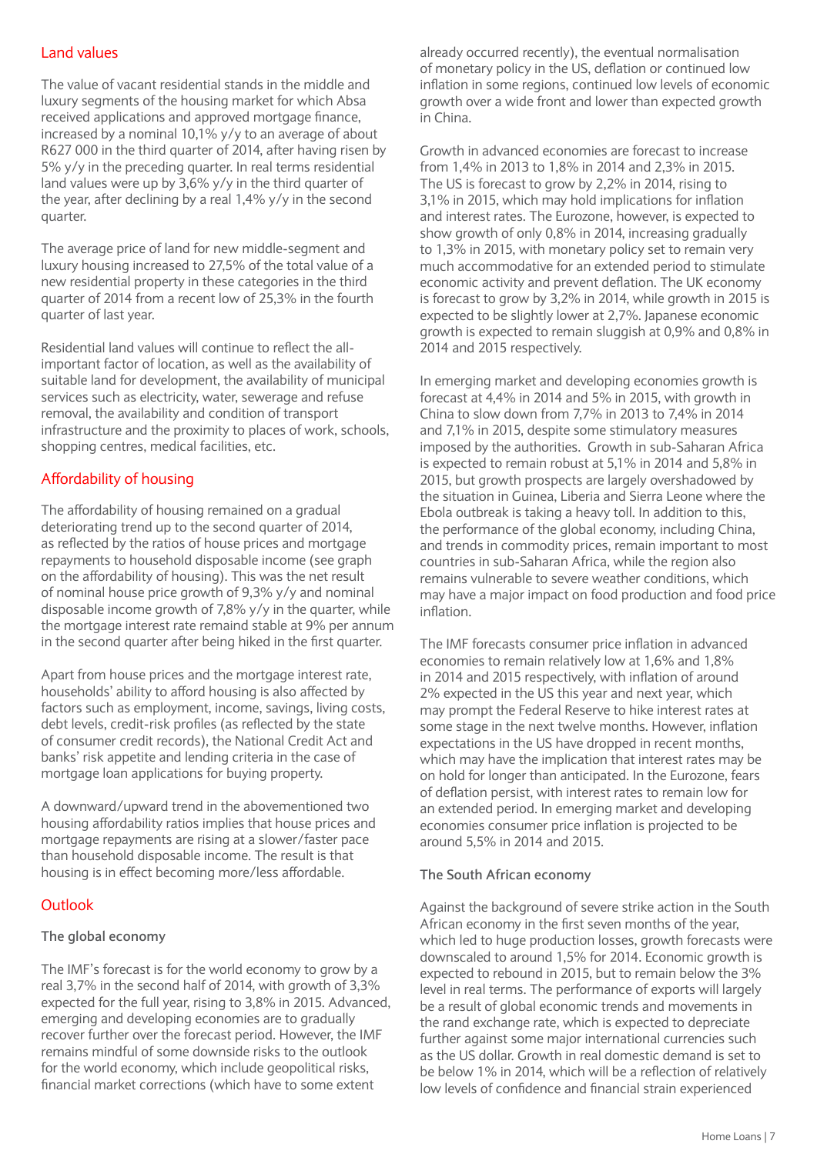#### Land values

The value of vacant residential stands in the middle and luxury segments of the housing market for which Absa received applications and approved mortgage finance, increased by a nominal 10,1% y/y to an average of about R627 000 in the third quarter of 2014, after having risen by 5% y/y in the preceding quarter. In real terms residential land values were up by 3,6% y/y in the third quarter of the year, after declining by a real 1,4% y/y in the second quarter.

The average price of land for new middle-segment and luxury housing increased to 27,5% of the total value of a new residential property in these categories in the third quarter of 2014 from a recent low of 25,3% in the fourth quarter of last year.

Residential land values will continue to reflect the allimportant factor of location, as well as the availability of suitable land for development, the availability of municipal services such as electricity, water, sewerage and refuse removal, the availability and condition of transport infrastructure and the proximity to places of work, schools, shopping centres, medical facilities, etc.

#### Affordability of housing

The affordability of housing remained on a gradual deteriorating trend up to the second quarter of 2014, as reflected by the ratios of house prices and mortgage repayments to household disposable income (see graph on the affordability of housing). This was the net result of nominal house price growth of 9,3% y/y and nominal disposable income growth of 7,8% y/y in the quarter, while the mortgage interest rate remaind stable at 9% per annum in the second quarter after being hiked in the first quarter.

Apart from house prices and the mortgage interest rate, households' ability to afford housing is also affected by factors such as employment, income, savings, living costs, debt levels, credit-risk profiles (as reflected by the state of consumer credit records), the National Credit Act and banks' risk appetite and lending criteria in the case of mortgage loan applications for buying property.

A downward/upward trend in the abovementioned two housing affordability ratios implies that house prices and mortgage repayments are rising at a slower/faster pace than household disposable income. The result is that housing is in effect becoming more/less affordable.

#### **Outlook**

#### **The global economy**

The IMF's forecast is for the world economy to grow by a real 3,7% in the second half of 2014, with growth of 3,3% expected for the full year, rising to 3,8% in 2015. Advanced, emerging and developing economies are to gradually recover further over the forecast period. However, the IMF remains mindful of some downside risks to the outlook for the world economy, which include geopolitical risks, financial market corrections (which have to some extent

already occurred recently), the eventual normalisation of monetary policy in the US, deflation or continued low inflation in some regions, continued low levels of economic growth over a wide front and lower than expected growth in China.

Growth in advanced economies are forecast to increase from 1,4% in 2013 to 1,8% in 2014 and 2,3% in 2015. The US is forecast to grow by 2,2% in 2014, rising to 3,1% in 2015, which may hold implications for inflation and interest rates. The Eurozone, however, is expected to show growth of only 0,8% in 2014, increasing gradually to 1,3% in 2015, with monetary policy set to remain very much accommodative for an extended period to stimulate economic activity and prevent deflation. The UK economy is forecast to grow by 3,2% in 2014, while growth in 2015 is expected to be slightly lower at 2,7%. Japanese economic growth is expected to remain sluggish at 0,9% and 0,8% in 2014 and 2015 respectively.

In emerging market and developing economies growth is forecast at 4,4% in 2014 and 5% in 2015, with growth in China to slow down from 7,7% in 2013 to 7,4% in 2014 and 7,1% in 2015, despite some stimulatory measures imposed by the authorities. Growth in sub-Saharan Africa is expected to remain robust at 5,1% in 2014 and 5,8% in 2015, but growth prospects are largely overshadowed by the situation in Guinea, Liberia and Sierra Leone where the Ebola outbreak is taking a heavy toll. In addition to this, the performance of the global economy, including China, and trends in commodity prices, remain important to most countries in sub-Saharan Africa, while the region also remains vulnerable to severe weather conditions, which may have a major impact on food production and food price inflation.

The IMF forecasts consumer price inflation in advanced economies to remain relatively low at 1,6% and 1,8% in 2014 and 2015 respectively, with inflation of around 2% expected in the US this year and next year, which may prompt the Federal Reserve to hike interest rates at some stage in the next twelve months. However, inflation expectations in the US have dropped in recent months, which may have the implication that interest rates may be on hold for longer than anticipated. In the Eurozone, fears of deflation persist, with interest rates to remain low for an extended period. In emerging market and developing economies consumer price inflation is projected to be around 5,5% in 2014 and 2015.

#### **The South African economy**

Against the background of severe strike action in the South African economy in the first seven months of the year, which led to huge production losses, growth forecasts were downscaled to around 1,5% for 2014. Economic growth is expected to rebound in 2015, but to remain below the 3% level in real terms. The performance of exports will largely be a result of global economic trends and movements in the rand exchange rate, which is expected to depreciate further against some major international currencies such as the US dollar. Growth in real domestic demand is set to be below 1% in 2014, which will be a reflection of relatively low levels of confidence and financial strain experienced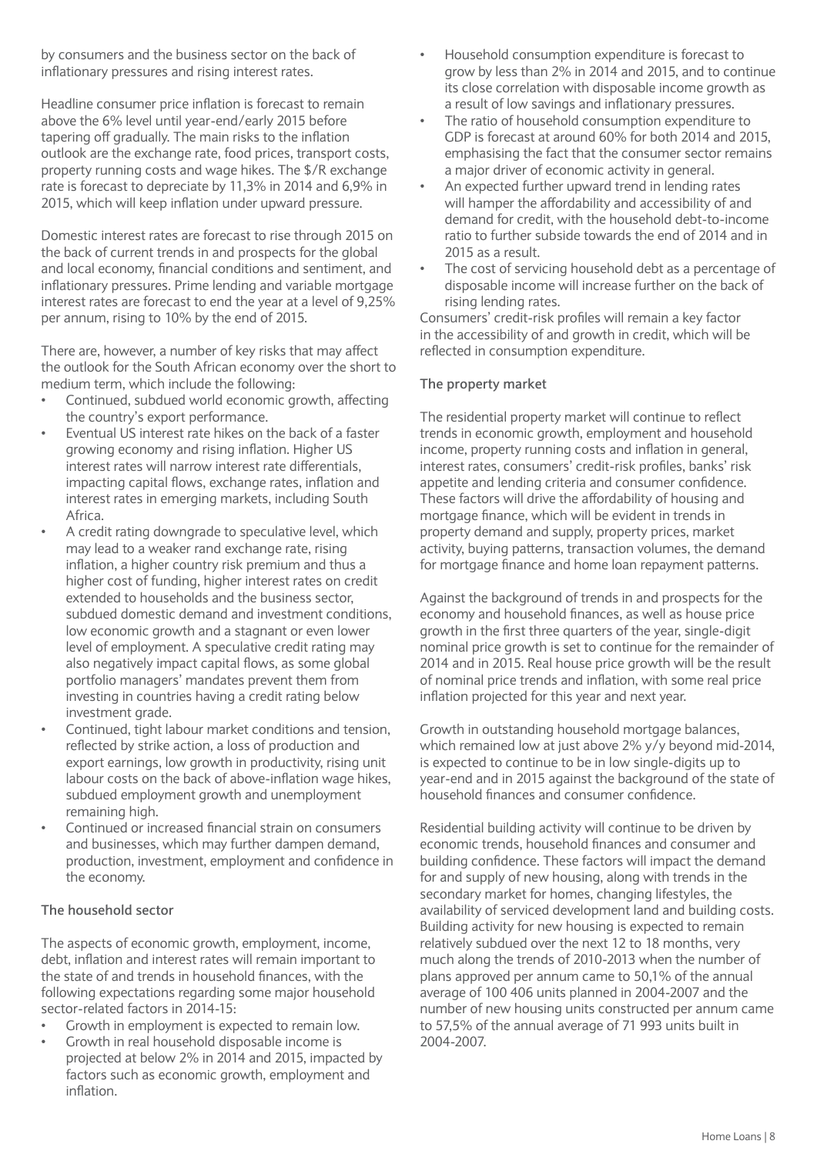by consumers and the business sector on the back of inflationary pressures and rising interest rates.

Headline consumer price inflation is forecast to remain above the 6% level until year-end/early 2015 before tapering off gradually. The main risks to the inflation outlook are the exchange rate, food prices, transport costs, property running costs and wage hikes. The \$/R exchange rate is forecast to depreciate by 11,3% in 2014 and 6,9% in 2015, which will keep inflation under upward pressure.

Domestic interest rates are forecast to rise through 2015 on the back of current trends in and prospects for the global and local economy, financial conditions and sentiment, and inflationary pressures. Prime lending and variable mortgage interest rates are forecast to end the year at a level of 9,25% per annum, rising to 10% by the end of 2015.

There are, however, a number of key risks that may affect the outlook for the South African economy over the short to medium term, which include the following:

- Continued, subdued world economic growth, affecting the country's export performance.
- Eventual US interest rate hikes on the back of a faster growing economy and rising inflation. Higher US interest rates will narrow interest rate differentials, impacting capital flows, exchange rates, inflation and interest rates in emerging markets, including South Africa.
- A credit rating downgrade to speculative level, which may lead to a weaker rand exchange rate, rising inflation, a higher country risk premium and thus a higher cost of funding, higher interest rates on credit extended to households and the business sector, subdued domestic demand and investment conditions, low economic growth and a stagnant or even lower level of employment. A speculative credit rating may also negatively impact capital flows, as some global portfolio managers' mandates prevent them from investing in countries having a credit rating below investment grade.
- Continued, tight labour market conditions and tension, reflected by strike action, a loss of production and export earnings, low growth in productivity, rising unit labour costs on the back of above-inflation wage hikes, subdued employment growth and unemployment remaining high.
- Continued or increased financial strain on consumers and businesses, which may further dampen demand, production, investment, employment and confidence in the economy.

#### **The household sector**

The aspects of economic growth, employment, income, debt, inflation and interest rates will remain important to the state of and trends in household finances, with the following expectations regarding some major household sector-related factors in 2014-15:

- Growth in employment is expected to remain low.
- Growth in real household disposable income is projected at below 2% in 2014 and 2015, impacted by factors such as economic growth, employment and inflation.
- Household consumption expenditure is forecast to grow by less than 2% in 2014 and 2015, and to continue its close correlation with disposable income growth as a result of low savings and inflationary pressures.
- The ratio of household consumption expenditure to GDP is forecast at around 60% for both 2014 and 2015, emphasising the fact that the consumer sector remains a major driver of economic activity in general.
- An expected further upward trend in lending rates will hamper the affordability and accessibility of and demand for credit, with the household debt-to-income ratio to further subside towards the end of 2014 and in 2015 as a result.
- The cost of servicing household debt as a percentage of disposable income will increase further on the back of rising lending rates.

Consumers' credit-risk profiles will remain a key factor in the accessibility of and growth in credit, which will be reflected in consumption expenditure.

#### **The property market**

The residential property market will continue to reflect trends in economic growth, employment and household income, property running costs and inflation in general, interest rates, consumers' credit-risk profiles, banks' risk appetite and lending criteria and consumer confidence. These factors will drive the affordability of housing and mortgage finance, which will be evident in trends in property demand and supply, property prices, market activity, buying patterns, transaction volumes, the demand for mortgage finance and home loan repayment patterns.

Against the background of trends in and prospects for the economy and household finances, as well as house price growth in the first three quarters of the year, single-digit nominal price growth is set to continue for the remainder of 2014 and in 2015. Real house price growth will be the result of nominal price trends and inflation, with some real price inflation projected for this year and next year.

Growth in outstanding household mortgage balances, which remained low at just above 2% y/y beyond mid-2014. is expected to continue to be in low single-digits up to year-end and in 2015 against the background of the state of household finances and consumer confidence.

Residential building activity will continue to be driven by economic trends, household finances and consumer and building confidence. These factors will impact the demand for and supply of new housing, along with trends in the secondary market for homes, changing lifestyles, the availability of serviced development land and building costs. Building activity for new housing is expected to remain relatively subdued over the next 12 to 18 months, very much along the trends of 2010-2013 when the number of plans approved per annum came to 50,1% of the annual average of 100 406 units planned in 2004-2007 and the number of new housing units constructed per annum came to 57,5% of the annual average of 71 993 units built in 2004-2007.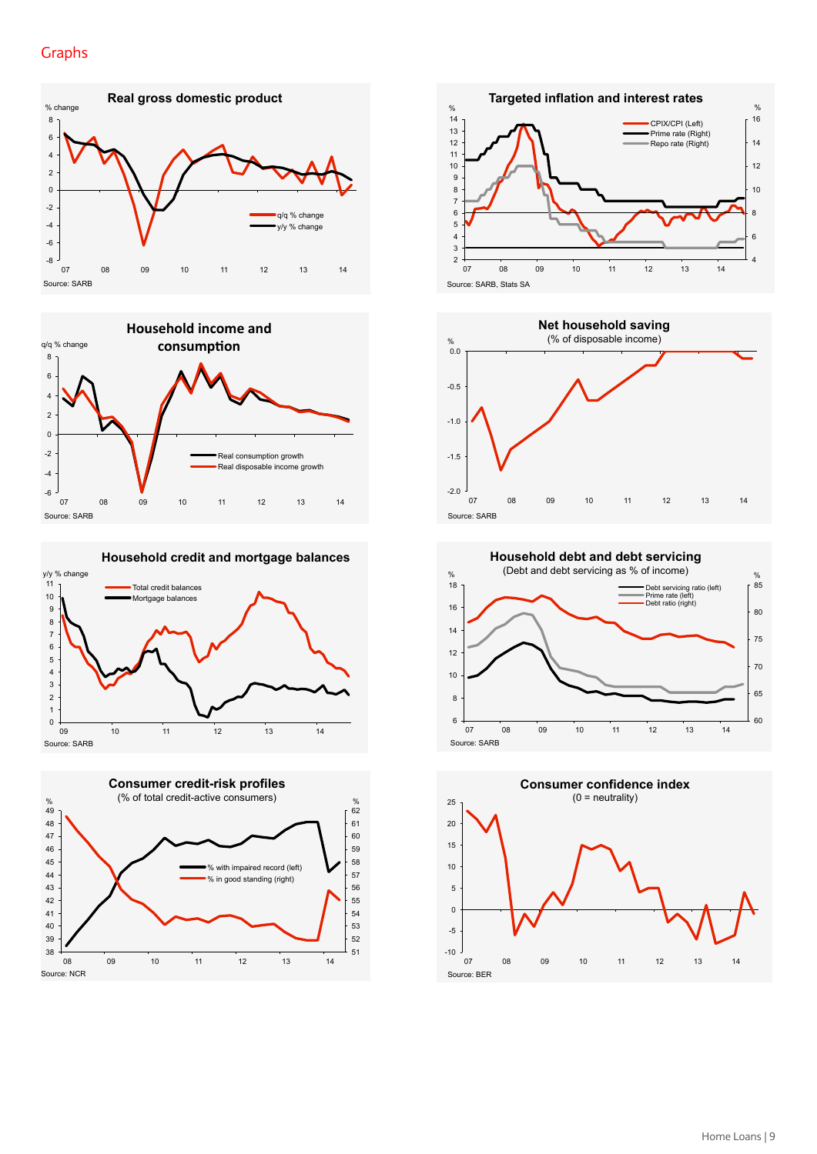### Graphs Graphs





**Household credit and mortgage balances** 









 $60$ 65 70 75 80  $85$ 6 8 10 12 14 16  $\frac{1}{18}$ 07 08 09 10 11 12 13 14  $\%$  (Debt and debt servicing as % of income)  $\frac{1}{\%}$ Source: SARB **Household debt and debt servicing**  Debt servicing ratio (left) Prime rate (left) Debt ratio (right)

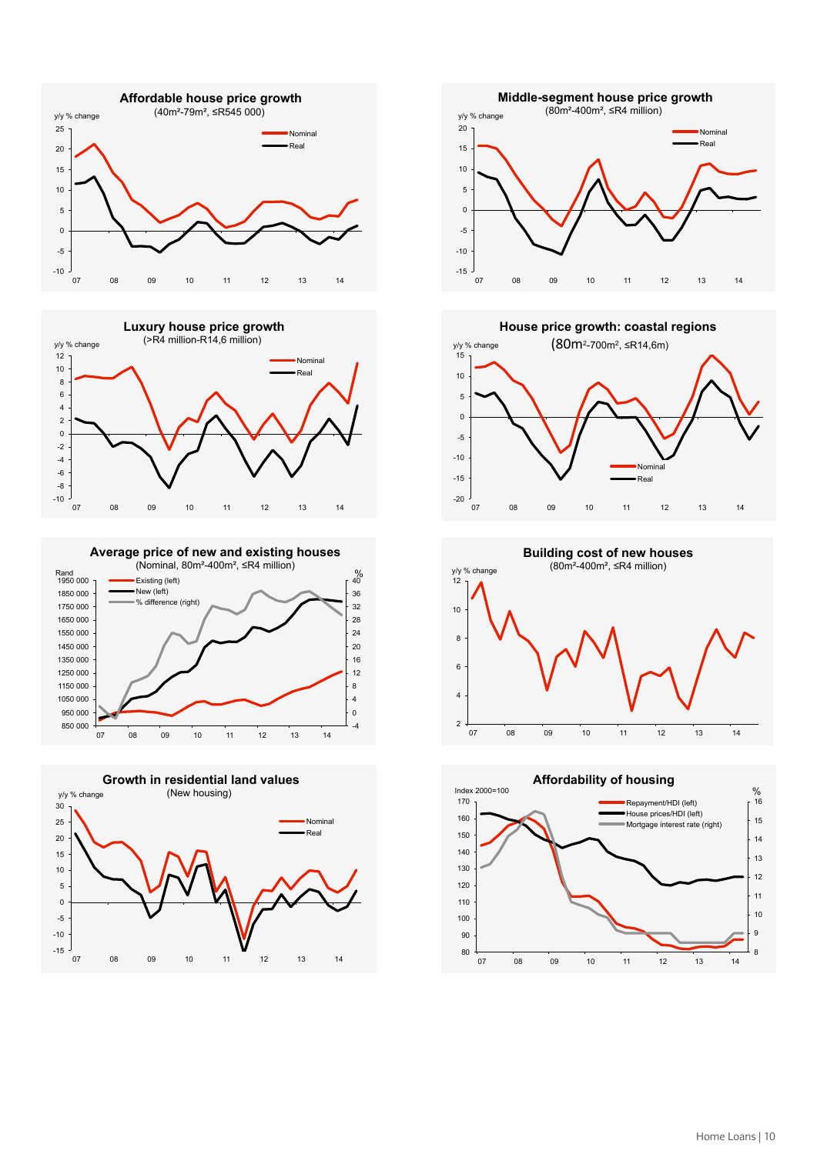



Rand  $\begin{array}{ccc} 0 & 0 & 0 \\ 0 & 0 & 0 \\ 0 & 0 & 0 \end{array}$  = Existing (left) Example 2008 Existing (left) **Average price of new and existing houses**  (Nominal, 80m²-400m², ≤R4 million)







-20 -15 -10 -5  $\Omega$ 5 10  $15$ 07 08 09 10 11 12 13 14 y/y % change **House price growth: coastal regions** (80m2-700m2, ≤R14,6m) Nominal Real

2 4 6 8 10 y/y % change<br>12 1 07 08 09 10 11 12 13 14 **Building cost of new houses**  (80m²-400m², ≤R4 million)

**Affordability of housing** 

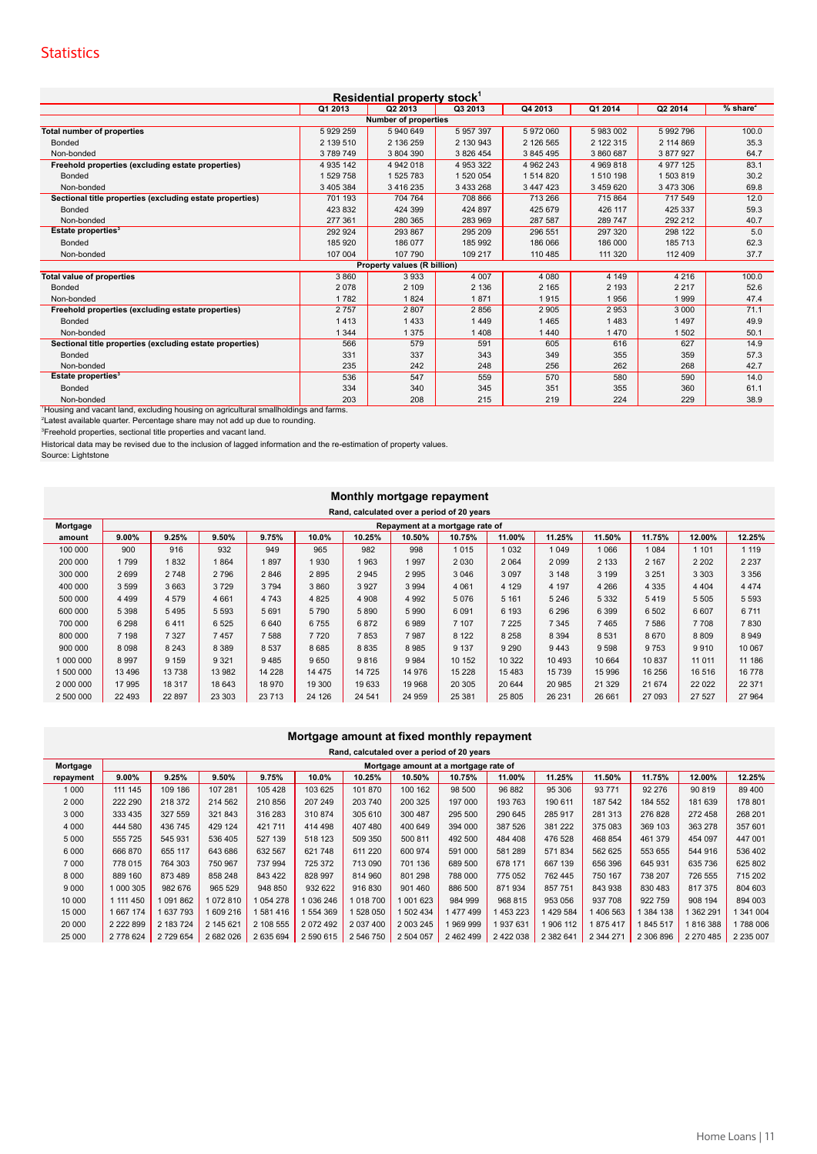#### **Statistics**

| Residential property stock <sup>1</sup>                                                          |               |                             |           |           |             |           |                        |  |  |  |
|--------------------------------------------------------------------------------------------------|---------------|-----------------------------|-----------|-----------|-------------|-----------|------------------------|--|--|--|
|                                                                                                  | Q1 2013       | Q2 2013                     | Q3 2013   | Q4 2013   | Q1 2014     | Q2 2014   | $%$ share <sup>2</sup> |  |  |  |
| <b>Number of properties</b>                                                                      |               |                             |           |           |             |           |                        |  |  |  |
| <b>Total number of properties</b>                                                                | 5929259       | 5 940 649                   | 5 957 397 | 5 972 060 | 5 983 002   | 5 992 796 | 100.0                  |  |  |  |
| Bonded                                                                                           | 2 139 510     | 2 136 259                   | 2 130 943 | 2 126 565 | 2 122 315   | 2 114 869 | 35.3                   |  |  |  |
| Non-bonded                                                                                       | 3789749       | 3 804 390                   | 3 826 454 | 3 845 495 | 3 860 687   | 3 877 927 | 64.7                   |  |  |  |
| Freehold properties (excluding estate properties)                                                | 4 9 3 5 1 4 2 | 4 942 018                   | 4 953 322 | 4 962 243 | 4 9 69 8 18 | 4 977 125 | 83.1                   |  |  |  |
| Bonded                                                                                           | 1 529 758     | 1 525 783                   | 1 520 054 | 1 514 820 | 1510 198    | 1503819   | 30.2                   |  |  |  |
| Non-bonded                                                                                       | 3 405 384     | 3 416 235                   | 3 433 268 | 3 447 423 | 3 459 620   | 3 473 306 | 69.8                   |  |  |  |
| Sectional title properties (excluding estate properties)                                         | 701 193       | 704 764                     | 708 866   | 713 266   | 715 864     | 717 549   | 12.0                   |  |  |  |
| Bonded                                                                                           | 423 832       | 424 399                     | 424 897   | 425 679   | 426 117     | 425 337   | 59.3                   |  |  |  |
| Non-bonded                                                                                       | 277 361       | 280 365                     | 283 969   | 287 587   | 289 747     | 292 212   | 40.7                   |  |  |  |
| Estate properties <sup>3</sup>                                                                   | 292 924       | 293 867                     | 295 209   | 296 551   | 297 320     | 298 122   | 5.0                    |  |  |  |
| Bonded                                                                                           | 185 920       | 186 077                     | 185 992   | 186 066   | 186 000     | 185 713   | 62.3                   |  |  |  |
| Non-bonded                                                                                       | 107 004       | 107 790                     | 109 217   | 110 485   | 111 320     | 112 409   | 37.7                   |  |  |  |
|                                                                                                  |               | Property values (R billion) |           |           |             |           |                        |  |  |  |
| <b>Total value of properties</b>                                                                 | 3860          | 3933                        | 4 0 0 7   | 4 0 8 0   | 4 1 4 9     | 4 2 1 6   | 100.0                  |  |  |  |
| Bonded                                                                                           | 2078          | 2 1 0 9                     | 2 1 3 6   | 2 1 6 5   | 2 1 9 3     | 2 2 1 7   | 52.6                   |  |  |  |
| Non-bonded                                                                                       | 1782          | 1824                        | 1871      | 1915      | 1956        | 1999      | 47.4                   |  |  |  |
| Freehold properties (excluding estate properties)                                                | 2757          | 2807                        | 2856      | 2 9 0 5   | 2953        | 3 0 0 0   | 71.1                   |  |  |  |
| Bonded                                                                                           | 1413          | 1433                        | 1449      | 1465      | 1483        | 1497      | 49.9                   |  |  |  |
| Non-bonded                                                                                       | 1 3 4 4       | 1 3 7 5                     | 1 4 0 8   | 1 4 4 0   | 1470        | 1 502     | 50.1                   |  |  |  |
| Sectional title properties (excluding estate properties)                                         | 566           | 579                         | 591       | 605       | 616         | 627       | 14.9                   |  |  |  |
| Bonded                                                                                           | 331           | 337                         | 343       | 349       | 355         | 359       | 57.3                   |  |  |  |
| Non-bonded                                                                                       | 235           | 242                         | 248       | 256       | 262         | 268       | 42.7                   |  |  |  |
| Estate properties <sup>3</sup>                                                                   | 536           | 547                         | 559       | 570       | 580         | 590       | 14.0                   |  |  |  |
| Bonded                                                                                           | 334           | 340                         | 345       | 351       | 355         | 360       | 61.1                   |  |  |  |
| Non-bonded                                                                                       | 203           | 208                         | 215       | 219       | 224         | 229       | 38.9                   |  |  |  |
| <sup>1</sup> Housing and vacant land, excluding housing on agricultural smallholdings and farms. |               |                             |           |           |             |           |                        |  |  |  |
| <sup>2</sup> Latest available quarter. Percentage share may not add up due to rounding.          |               |                             |           |           |             |           |                        |  |  |  |
| <sup>3</sup> Freehold properties, sectional title properties and vacant land.                    |               |                             |           |           |             |           |                        |  |  |  |

Historical data may be revised due to the inclusion of lagged information and the re-estimation of property values. Source: Lightstone

#### **Monthly mortgage repayment**

|  | Rand, calculated over a period of 20 years |  |  |  |
|--|--------------------------------------------|--|--|--|

| Mortgage  | Repayment at a mortgage rate of |         |         |         |         |         |         |         |         |          |         |         |         |         |
|-----------|---------------------------------|---------|---------|---------|---------|---------|---------|---------|---------|----------|---------|---------|---------|---------|
| amount    | 9.00%                           | 9.25%   | 9.50%   | 9.75%   | 10.0%   | 10.25%  | 10.50%  | 10.75%  | 11.00%  | 11.25%   | 11.50%  | 11.75%  | 12.00%  | 12.25%  |
| 100 000   | 900                             | 916     | 932     | 949     | 965     | 982     | 998     | 1015    | 1 0 3 2 | 1 0 4 9  | 1066    | 1084    | 1 1 0 1 | 1 1 1 9 |
| 200 000   | 1799                            | 832     | 1864    | 897     | 1930    | 963     | 997     | 2 0 3 0 | 2 0 6 4 | 2099     | 2 1 3 3 | 2 1 6 7 | 2 2 0 2 | 2 2 3 7 |
| 300 000   | 2699                            | 2748    | 2796    | 2846    | 2895    | 2 9 4 5 | 2 9 9 5 | 3 0 4 6 | 3 0 9 7 | 3 1 4 8  | 3 1 9 9 | 3 2 5 1 | 3 3 0 3 | 3 3 5 6 |
| 400 000   | 3 5 9 9                         | 3663    | 3729    | 3794    | 3860    | 3 9 2 7 | 3 9 9 4 | 4 0 6 1 | 4 1 2 9 | 4 1 9 7  | 4 2 6 6 | 4 3 3 5 | 4 4 0 4 | 4 4 7 4 |
| 500 000   | 4 4 9 9                         | 4579    | 4661    | 4 7 4 3 | 4 8 2 5 | 4 9 0 8 | 4 9 9 2 | 5076    | 5 1 6 1 | 5 2 4 6  | 5 3 3 2 | 5419    | 5 5 0 5 | 5 5 9 3 |
| 600 000   | 5 3 9 8                         | 5495    | 5 5 9 3 | 5691    | 5790    | 5890    | 5 9 9 0 | 6 0 9 1 | 6 1 9 3 | 6 2 9 6  | 6 3 9 9 | 6 5 0 2 | 6607    | 6 7 1 1 |
| 700 000   | 6 2 9 8                         | 6411    | 6525    | 6640    | 6755    | 6872    | 6989    | 7 107   | 7 2 2 5 | 7 3 4 5  | 7465    | 7586    | 7708    | 7830    |
| 800 000   | 7 1 9 8                         | 7 3 2 7 | 7457    | 7588    | 7720    | 7853    | 7987    | 8 1 2 2 | 8 2 5 8 | 8 3 9 4  | 8531    | 8670    | 8809    | 8949    |
| 900 000   | 8098                            | 8 2 4 3 | 8 3 8 9 | 8 5 3 7 | 8685    | 8 8 3 5 | 8985    | 9 1 3 7 | 9 2 9 0 | 9443     | 9598    | 9753    | 9910    | 10 067  |
| 1 000 000 | 8997                            | 9 1 5 9 | 9 3 2 1 | 9485    | 9650    | 9816    | 9984    | 10 152  | 10 322  | 10 4 9 3 | 10 664  | 10837   | 11 0 11 | 11 186  |
| 1 500 000 | 13496                           | 13738   | 13 982  | 14 2 28 | 14 475  | 14 725  | 14 976  | 15 2 28 | 15483   | 15 7 39  | 15 996  | 16 256  | 16 516  | 16778   |
| 2 000 000 | 17 995                          | 18 317  | 18 643  | 18 970  | 19 300  | 19 633  | 19 968  | 20 30 5 | 20 644  | 20 985   | 21 3 29 | 21 674  | 22 0 22 | 22 371  |
| 2 500 000 | 22 4 93                         | 22 897  | 23 30 3 | 23 713  | 24 126  | 24 541  | 24 959  | 25 381  | 25 805  | 26 231   | 26 661  | 27 093  | 27 527  | 27 964  |

#### **Mortgage amount at fixed monthly repayment**

| 9.00%         | 9.25%     | 9.50%     | 9.75%     | 10.0%     | 10.25%    | 10.50%    | 10.75%    | 11.00%    | 11.25%                                                                              | 11.50%    | 11.75%    | 12.00%        | 12.25%        |
|---------------|-----------|-----------|-----------|-----------|-----------|-----------|-----------|-----------|-------------------------------------------------------------------------------------|-----------|-----------|---------------|---------------|
| 111 145       | 109 186   | 107 281   | 105 428   | 103 625   | 101 870   | 100 162   | 98 500    | 96 882    | 95 306                                                                              | 93 771    | 92 276    | 90 819        | 89 400        |
| 222 290       | 218 372   | 214 562   | 210 856   | 207 249   | 203 740   | 200 325   | 197 000   | 193 763   | 190 611                                                                             | 187 542   | 184 552   | 181 639       | 178 801       |
| 333 435       | 327 559   | 321843    | 316 283   | 310874    | 305 610   | 300 487   | 295 500   | 290 645   | 285 917                                                                             | 281 313   | 276 828   | 272 458       | 268 201       |
| 444 580       | 436 745   | 429 124   | 421 711   | 414 498   | 407 480   | 400 649   | 394 000   | 387 526   | 381 222                                                                             | 375 083   | 369 103   | 363 278       | 357 601       |
| 555 725       | 545 931   | 536 405   | 527 139   | 518 123   | 509 350   | 500 811   | 492 500   | 484 408   | 476 528                                                                             | 468 854   | 461 379   | 454 097       | 447 001       |
| 666 870       | 655 117   | 643 686   | 632 567   | 621 748   | 611 220   | 600 974   | 591 000   | 581 289   | 571 834                                                                             | 562 625   | 553 655   | 544 916       | 536 402       |
| 778 015       | 764 303   | 750 967   | 737 994   | 725 372   | 713 090   | 701 136   | 689 500   | 678 171   | 667 139                                                                             | 656 396   | 645 931   | 635 736       | 625 802       |
| 889 160       | 873 489   | 858 248   | 843 422   | 828 997   | 814 960   | 801 298   | 788 000   | 775 052   | 762 445                                                                             | 750 167   | 738 207   | 726 555       | 715 202       |
| 1 000 305     | 982 676   | 965 529   | 948 850   | 932 622   | 916 830   | 901 460   | 886 500   | 871934    | 857 751                                                                             | 843 938   | 830 483   | 817 375       | 804 603       |
| 1 111 450     | 1091862   | 1072810   | 1054278   | 1036246   | 1018700   | 1 001 623 | 984 999   | 968 815   | 953 056                                                                             | 937 708   | 922 759   | 908 194       | 894 003       |
| 1667174       | 1637793   | 1609216   | 1581416   | 1554369   | 528 050   | 1 502 434 | 1477499   | 453 223   | 429 584                                                                             | 406 563   | 384 138   | 362 291       | 1 341 004     |
| 2 2 2 2 8 9 9 | 2 183 724 | 2 145 621 | 2 108 555 | 2072492   | 2 037 400 | 2 003 245 | 1969999   | 937 631   | 906 112                                                                             | 875417    | 845 517   | 816 388       | 788 006       |
| 2 778 624     | 2729654   | 2 682 026 | 2 635 694 | 2 590 615 | 2 546 750 | 2 504 057 | 2 462 499 | 2 422 038 | 2 382 641                                                                           | 2 344 271 | 2 306 896 | 2 2 7 0 4 8 5 | 2 2 3 5 0 0 7 |
|               |           |           |           |           |           |           |           |           | Rand, calcutaled over a period of 20 years<br>Mortgage amount at a mortgage rate of |           |           |               |               |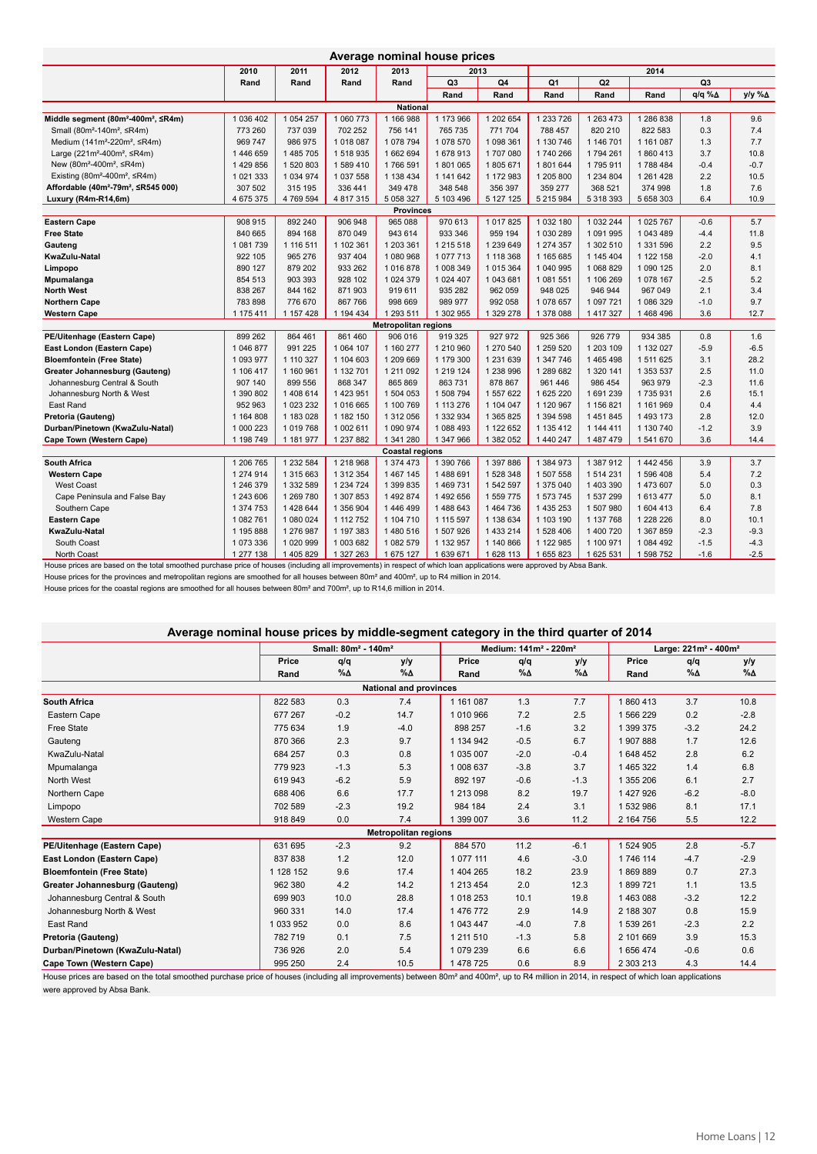| Average nominal house prices                                |               |             |              |                             |                |           |               |                |            |                 |        |
|-------------------------------------------------------------|---------------|-------------|--------------|-----------------------------|----------------|-----------|---------------|----------------|------------|-----------------|--------|
|                                                             | 2010          | 2011        | 2012         | 2013                        |                | 2013      |               |                | 2014       |                 |        |
|                                                             | Rand          | Rand        | Rand         | Rand                        | Q <sub>3</sub> | Q4        | Q1            | Q <sub>2</sub> |            | Q3              |        |
|                                                             |               |             |              |                             | Rand           | Rand      | Rand          | Rand           | Rand       | $q/q \% \Delta$ | y/y %A |
|                                                             |               |             |              | National                    |                |           |               |                |            |                 |        |
| Middle segment (80m <sup>2</sup> -400m <sup>2</sup> , ≤R4m) | 1 036 402     | 1 054 257   | 1 060 773    | 1 166 988                   | 1 173 966      | 1 202 654 | 1 233 726     | 1 263 473      | 1 286 838  | 1.8             | 9.6    |
| Small (80m <sup>2</sup> -140m <sup>2</sup> , ≤R4m)          | 773 260       | 737 039     | 702 252      | 756 141                     | 765 735        | 771 704   | 788 457       | 820 210        | 822 583    | 0.3             | 7.4    |
| Medium (141m <sup>2</sup> -220m <sup>2</sup> , ≤R4m)        | 969 747       | 986 975     | 1018087      | 1078794                     | 1078 570       | 1 098 361 | 1 130 746     | 1 146 701      | 1 161 087  | 1.3             | 7.7    |
| Large (221m <sup>2</sup> -400m <sup>2</sup> , $\leq$ R4m)   | 1446659       | 1 485 705   | 1518935      | 1 662 694                   | 1678913        | 1707080   | 1740 266      | 1794 261       | 1860413    | 3.7             | 10.8   |
| New (80m <sup>2</sup> -400m <sup>2</sup> , ≤R4m)            | 1429856       | 1 520 803   | 1589410      | 1766 591                    | 1801065        | 1805671   | 1801644       | 1795911        | 1788484    | $-0.4$          | $-0.7$ |
| Existing (80m <sup>2</sup> -400m <sup>2</sup> , $\leq$ R4m) | 1 0 2 1 3 3 3 | 1 0 34 9 74 | 1 037 558    | 1 138 434                   | 1 141 642      | 1 172 983 | 1 205 800     | 1 234 804      | 1 261 4 28 | 2.2             | 10.5   |
| Affordable (40m <sup>2</sup> -79m <sup>2</sup> , ≤R545 000) | 307 502       | 315 195     | 336 441      | 349 478                     | 348 548        | 356 397   | 359 277       | 368 521        | 374 998    | 1.8             | 7.6    |
| Luxury (R4m-R14,6m)                                         | 4 675 375     | 4769594     | 4 817 315    | 5 0 58 3 27                 | 5 103 496      | 5 127 125 | 5 215 984     | 5 318 393      | 5 658 303  | 6.4             | 10.9   |
|                                                             |               |             |              | <b>Provinces</b>            |                |           |               |                |            |                 |        |
| <b>Eastern Cape</b>                                         | 908 915       | 892 240     | 906 948      | 965 088                     | 970 613        | 1 017 825 | 1 0 3 2 1 8 0 | 1 0 3 2 2 4 4  | 1 025 767  | $-0.6$          | 5.7    |
| <b>Free State</b>                                           | 840 665       | 894 168     | 870 049      | 943 614                     | 933 346        | 959 194   | 1 030 289     | 1 091 995      | 1 043 489  | $-4.4$          | 11.8   |
| Gauteng                                                     | 1081739       | 1 116 511   | 1 102 361    | 1 203 361                   | 1 215 518      | 1 239 649 | 1 274 357     | 1 302 510      | 1 331 596  | 2.2             | 9.5    |
| KwaZulu-Natal                                               | 922 105       | 965 276     | 937 404      | 1 080 968                   | 1077713        | 1 118 368 | 1 165 685     | 1 145 404      | 1 122 158  | $-2.0$          | 4.1    |
| Limpopo                                                     | 890 127       | 879 202     | 933 262      | 1016878                     | 1 008 349      | 1 015 364 | 1 040 995     | 1 068 829      | 1 090 125  | 2.0             | 8.1    |
| Mpumalanga                                                  | 854 513       | 903 393     | 928 102      | 1 0 24 3 79                 | 1 024 407      | 1043681   | 1 081 551     | 1 106 269      | 1 078 167  | $-2.5$          | 5.2    |
| <b>North West</b>                                           | 838 267       | 844 162     | 871903       | 919 611                     | 935 282        | 962 059   | 948 025       | 946 944        | 967 049    | 2.1             | 3.4    |
| <b>Northern Cape</b>                                        | 783 898       | 776 670     | 867 766      | 998 669                     | 989 977        | 992 058   | 1078 657      | 1 097 721      | 1 086 329  | $-1.0$          | 9.7    |
| <b>Western Cape</b>                                         | 1 175 411     | 1 157 428   | 1 194 434    | 1 293 511                   | 1 302 955      | 1 329 278 | 1 378 088     | 1 417 327      | 1468496    | 3.6             | 12.7   |
|                                                             |               |             |              | <b>Metropolitan regions</b> |                |           |               |                |            |                 |        |
| PE/Uitenhage (Eastern Cape)                                 | 899 262       | 864 461     | 861 460      | 906 016                     | 919 325        | 927 972   | 925 366       | 926 779        | 934 385    | 0.8             | 1.6    |
| East London (Eastern Cape)                                  | 1 046 877     | 991 225     | 1 0 64 1 0 7 | 1 160 277                   | 1 210 960      | 1 270 540 | 1 259 520     | 1 203 109      | 1 132 027  | $-5.9$          | $-6.5$ |
| <b>Bloemfontein (Free State)</b>                            | 1 093 977     | 1 110 327   | 1 104 603    | 1 209 669                   | 1 179 300      | 1 231 639 | 1 347 746     | 1465498        | 1 511 625  | 3.1             | 28.2   |
| Greater Johannesburg (Gauteng)                              | 1 106 417     | 1 160 961   | 1 132 701    | 1 211 092                   | 1 219 124      | 1 238 996 | 1 289 682     | 1 320 141      | 1 353 537  | 2.5             | 11.0   |
| Johannesburg Central & South                                | 907 140       | 899 556     | 868 347      | 865 869                     | 863 731        | 878 867   | 961 446       | 986 454        | 963 979    | $-2.3$          | 11.6   |
| Johannesburg North & West                                   | 1 390 802     | 1 408 614   | 1 423 951    | 1 504 053                   | 1 508 794      | 1 557 622 | 1 625 220     | 1691239        | 1735931    | 2.6             | 15.1   |
| East Rand                                                   | 952 963       | 1 023 232   | 1016 665     | 1 100 769                   | 1 113 276      | 1 104 047 | 1 120 967     | 1 156 821      | 1 161 969  | 0.4             | 4.4    |
| Pretoria (Gauteng)                                          | 1 164 808     | 1 183 028   | 1 182 150    | 1 312 056                   | 1 332 934      | 1 365 825 | 1 394 598     | 1 451 845      | 1 493 173  | 2.8             | 12.0   |
| Durban/Pinetown (KwaZulu-Natal)                             | 1 000 223     | 1019768     | 1 002 611    | 1 090 974                   | 1 088 493      | 1 122 652 | 1 135 412     | 1 144 411      | 1 130 740  | $-1.2$          | 3.9    |
| Cape Town (Western Cape)                                    | 1 198 749     | 1 181 977   | 1 237 882    | 1 341 280                   | 1 347 966      | 1 382 052 | 1 440 247     | 1 487 479      | 1541670    | 3.6             | 14.4   |
|                                                             |               |             |              | <b>Coastal regions</b>      |                |           |               |                |            |                 |        |
| <b>South Africa</b>                                         | 1 206 765     | 1 232 584   | 1 218 968    | 1 374 473                   | 1 390 766      | 1 397 886 | 1 384 973     | 1 387 912      | 1 442 456  | 3.9             | 3.7    |
| <b>Western Cape</b>                                         | 1 274 914     | 1 315 663   | 1 312 354    | 1 467 145                   | 1488691        | 1 528 348 | 1 507 558     | 1 514 231      | 1 596 408  | 5.4             | 7.2    |
| <b>West Coast</b>                                           | 1 246 379     | 1 332 589   | 1 234 724    | 1 399 835                   | 1469731        | 1542597   | 1 375 040     | 1 403 390      | 1473607    | 5.0             | 0.3    |
| Cape Peninsula and False Bay                                | 1 243 606     | 1 269 780   | 1 307 853    | 1492874                     | 1 492 656      | 1 559 775 | 1 573 745     | 1 537 299      | 1613477    | 5.0             | 8.1    |
| Southern Cape                                               | 1 374 753     | 1 428 644   | 1 356 904    | 1446499                     | 1 488 643      | 1 464 736 | 1 4 3 5 2 5 3 | 1 507 980      | 1 604 413  | 6.4             | 7.8    |
| <b>Eastern Cape</b>                                         | 1 082 761     | 1 080 024   | 1 112 752    | 1 104 710                   | 1 115 597      | 1 138 634 | 1 103 190     | 1 137 768      | 1 228 226  | 8.0             | 10.1   |
| KwaZulu-Natal                                               | 1 195 888     | 1 276 987   | 1 197 383    | 1480516                     | 1 507 926      | 1 433 214 | 1 528 406     | 1 400 720      | 1 367 859  | $-2.3$          | $-9.3$ |
| South Coast                                                 | 1073336       | 1 020 999   | 1 003 682    | 1 082 579                   | 1 132 957      | 1 140 866 | 1 122 985     | 1 100 971      | 1 084 492  | $-1.5$          | $-4.3$ |
| North Coast                                                 | 1 277 138     | 1 405 829   | 1 327 263    | 1 675 127                   | 1639671        | 1 628 113 | 1 655 823     | 1 625 531      | 1 598 752  | $-1.6$          | $-2.5$ |

House prices are based on the total smoothed purchase price of houses (including all improvements) in respect of which loan applications were approved by Absa Bank.

House prices for the provinces and metropolitan regions are smoothed for all houses between 80m² and 400m², up to R4 million in 2014.

House prices for the coastal regions are smoothed for all houses between 80m² and 700m², up to R14,6 million in 2014.

#### Average nominal house prices by middle-segment category in the third quarter of 2014

|                                  |               | Small: 80m <sup>2</sup> - 140m <sup>2</sup> |                             |               | Medium: 141m <sup>2</sup> - 220m <sup>2</sup> |        | Large: 221m <sup>2</sup> - 400m <sup>2</sup> |            |            |  |  |  |
|----------------------------------|---------------|---------------------------------------------|-----------------------------|---------------|-----------------------------------------------|--------|----------------------------------------------|------------|------------|--|--|--|
|                                  | Price         | q/q                                         | y/y                         | Price         | q/q                                           | y/y    | Price                                        | q/q        | y/y        |  |  |  |
|                                  | Rand          | %∆                                          | %∆                          | Rand          | %∆                                            | %∆     | Rand                                         | $% \Delta$ | $% \Delta$ |  |  |  |
| <b>National and provinces</b>    |               |                                             |                             |               |                                               |        |                                              |            |            |  |  |  |
| <b>South Africa</b>              | 822 583       | 0.3                                         | 7.4                         | 1 161 087     | 1.3                                           | 7.7    | 1860413                                      | 3.7        | 10.8       |  |  |  |
| Eastern Cape                     | 677 267       | $-0.2$                                      | 14.7                        | 1 0 1 0 9 6 6 | 7.2                                           | 2.5    | 1566229                                      | 0.2        | $-2.8$     |  |  |  |
| Free State                       | 775 634       | 1.9                                         | $-4.0$                      | 898 257       | $-1.6$                                        | 3.2    | 1 399 375                                    | $-3.2$     | 24.2       |  |  |  |
| Gauteng                          | 870 366       | 2.3                                         | 9.7                         | 1 134 942     | $-0.5$                                        | 6.7    | 1907888                                      | 1.7        | 12.6       |  |  |  |
| KwaZulu-Natal                    | 684 257       | 0.3                                         | 0.8                         | 1 035 007     | $-2.0$                                        | $-0.4$ | 1648452                                      | 2.8        | 6.2        |  |  |  |
| Mpumalanga                       | 779 923       | $-1.3$                                      | 5.3                         | 1 008 637     | $-3.8$                                        | 3.7    | 1465322                                      | 1.4        | 6.8        |  |  |  |
| North West                       | 619 943       | $-6.2$                                      | 5.9                         | 892 197       | $-0.6$                                        | $-1.3$ | 1 355 206                                    | 6.1        | 2.7        |  |  |  |
| Northern Cape                    | 688 406       | 6.6                                         | 17.7                        | 1 213 098     | 8.2                                           | 19.7   | 1 427 926                                    | $-6.2$     | $-8.0$     |  |  |  |
| Limpopo                          | 702 589       | $-2.3$                                      | 19.2                        | 984 184       | 2.4                                           | 3.1    | 1532986                                      | 8.1        | 17.1       |  |  |  |
| <b>Western Cape</b>              | 918 849       | 0.0                                         | 7.4                         | 1 399 007     | 3.6                                           | 11.2   | 2 164 756                                    | 5.5        | 12.2       |  |  |  |
|                                  |               |                                             | <b>Metropolitan regions</b> |               |                                               |        |                                              |            |            |  |  |  |
| PE/Uitenhage (Eastern Cape)      | 631 695       | $-2.3$                                      | 9.2                         | 884 570       | 11.2                                          | $-6.1$ | 1524905                                      | 2.8        | $-5.7$     |  |  |  |
| East London (Eastern Cape)       | 837 838       | 1.2                                         | 12.0                        | 1 0 7 7 111   | 4.6                                           | $-3.0$ | 1 746 114                                    | $-4.7$     | $-2.9$     |  |  |  |
| <b>Bloemfontein (Free State)</b> | 1 128 152     | 9.6                                         | 17.4                        | 1 404 265     | 18.2                                          | 23.9   | 1869889                                      | 0.7        | 27.3       |  |  |  |
| Greater Johannesburg (Gauteng)   | 962 380       | 4.2                                         | 14.2                        | 1 213 454     | 2.0                                           | 12.3   | 1899721                                      | 1.1        | 13.5       |  |  |  |
| Johannesburg Central & South     | 699 903       | 10.0                                        | 28.8                        | 1 0 18 2 5 3  | 10.1                                          | 19.8   | 1463088                                      | $-3.2$     | 12.2       |  |  |  |
| Johannesburg North & West        | 960 331       | 14.0                                        | 17.4                        | 1476772       | 2.9                                           | 14.9   | 2 188 307                                    | 0.8        | 15.9       |  |  |  |
| East Rand                        | 1 0 3 3 9 5 2 | 0.0                                         | 8.6                         | 1 043 447     | $-4.0$                                        | 7.8    | 1539261                                      | $-2.3$     | 2.2        |  |  |  |
| Pretoria (Gauteng)               | 782 719       | 0.1                                         | 7.5                         | 1 211 510     | $-1.3$                                        | 5.8    | 2 101 669                                    | 3.9        | 15.3       |  |  |  |
| Durban/Pinetown (KwaZulu-Natal)  | 736 926       | 2.0                                         | 5.4                         | 1 079 239     | 6.6                                           | 6.6    | 1656474                                      | $-0.6$     | 0.6        |  |  |  |
| Cape Town (Western Cape)         | 995 250       | 2.4                                         | 10.5                        | 1 478 725     | 0.6                                           | 8.9    | 2 303 213                                    | 4.3        | 14.4       |  |  |  |

House prices are based on the total smoothed purchase price of houses (including all improvements) between 80m<sup>2</sup> and 400m<sup>2</sup>, up to R4 million in 2014, in respect of which loan applications were approved by Absa Bank.